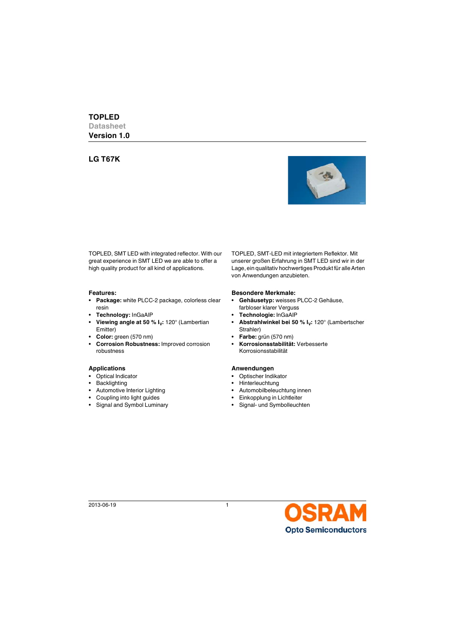# **LG T67K**



TOPLED, SMT LED with integrated reflector. With our great experience in SMT LED we are able to offer a high quality product for all kind of applications.

- **Package:** white PLCC-2 package, colorless clear resin
- **Technology:** InGaAlP **Technologie:** InGaAlP
- Viewing angle at 50 % I<sub>v</sub>: 120° (Lambertian Emitter)
- **Color:** green (570 nm) **Farbe:** grün (570 nm)
- **Corrosion Robustness:** Improved corrosion robustness

- 
- 
- Automotive Interior Lighting  **Automobilbeleuchtung innen**
- 
- Signal and Symbol Luminary Signal- und Symbolleuchten

TOPLED, SMT-LED mit integriertem Reflektor. Mit unserer großen Erfahrung in SMT LED sind wir in der Lage, ein qualitativ hochwertiges Produkt für alle Arten von Anwendungen anzubieten.

#### **Features: Besondere Merkmale:**

- **Gehäusetyp:** weisses PLCC-2 Gehäuse, farbloser klarer Verguss
- 
- Abstrahlwinkel bei 50 % I<sub>v</sub>: 120° (Lambertscher Strahler)
- 
- **Korrosionsstabilität:** Verbesserte Korrosionsstabilität

#### Applications **Anwendungen**

- Optical Indicator Optischer Indikator
- Backlighting  **Hinterleuchtung** 
	-
- Coupling into light guides Einkopplung in Lichtleiter
	-

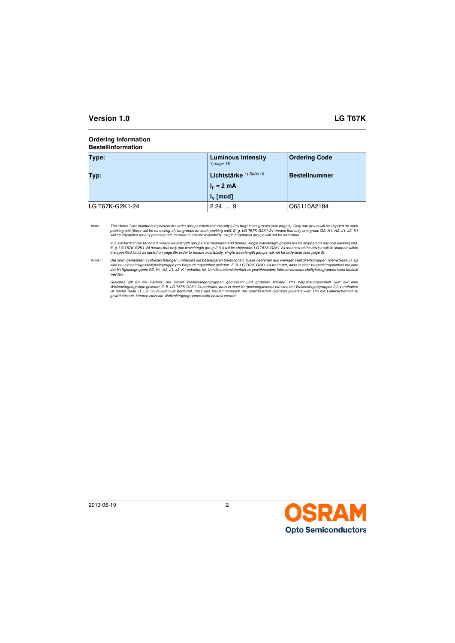#### **Ordering Information Bestellinformation**

| Type:           | <b>Luminous Intensity</b><br>1) page $18$ | <b>Ordering Code</b> |
|-----------------|-------------------------------------------|----------------------|
| Typ:            | Lichtstärke <sup>1) Seite 18</sup>        | <b>Bestellnummer</b> |
|                 | $IE = 2 mA$                               |                      |
|                 | $I_{\nu}$ [mcd]                           |                      |
| LG T67K-G2K1-24 | 2.249                                     | Q65110A2184          |

*Note: The above Type Numbers represent the order groups which include only a few brightness groups (see page [5\)](#page-4-0). Only one group will be shipped on each packing unit (there will be no mixing of two groups on each packing unit). E. g. LG T67K-G2K1-24 means that only one group G2, H1, H2, J1, J2, K1 will be shippable for any packing unit. In order to ensure availability, single brightness groups will not be orderable.*

In a similar manner for colors where wavelength groups are measured and binned, single wavelength groups will be shipped on any one packing unit.<br>E. g. LG T67K-G2K1-24 means that only one wavelength group 2,3,4 will be shi *the specified limits as stated on page [5](#page-4-1)In order to ensure availability, single wavelength groups will not be orderable (see page [5\)](#page-4-1).*

*Anm.: Die oben genannten Typbezeichnungen umfassen die bestellbaren Selektionen. Diese bestehen aus wenigen Helligkeitsgruppen (siehe Seite [5\)](#page-4-2). Es wird nur eine einzige Helligkeitsgruppe pro Verpackungseinheit geliefert. Z. B. LG T67K-G2K1-24 bedeutet, dass in einer Verpackungseinheit nur eine der Helligkeitsgruppen G2, H1, H2, J1, J2, K1 enhalten ist. Um die Liefersicherheit zu gewährleisten, können einzelne Helligkeitsgruppen nicht bestellt werden.*

*Gleiches gilt für die Farben, bei denen Wellenlängengruppen gemessen und gruppiert werden. Pro Verpackungseinheit wird nur eine Wellenlängengruppe geliefert. Z. B. LG T67K-G2K1-24 bedeutet, dass in einer Verpackungseinheit nur eine der Wellenlängengruppen 2,3,4 enthalten ist (siehe Seite [5\)](#page-4-3). LG T67K-G2K1-24 bedeutet, dass das Bauteil innerhalb der spezifizierten Grenzen geliefert wird. Um die Liefersicherheit zu gewährleisten, können einzelne Wellenlängengruppen nicht bestellt werden.*

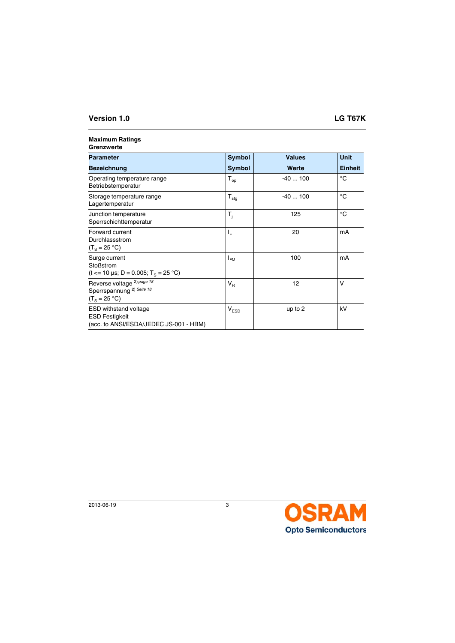#### **Maximum Ratings Grenzwerte**

| <b>Parameter</b>                                                                                 | <b>Symbol</b>    | <b>Values</b> | <b>Unit</b>    |  |  |
|--------------------------------------------------------------------------------------------------|------------------|---------------|----------------|--|--|
| <b>Bezeichnung</b>                                                                               | <b>Symbol</b>    | Werte         | <b>Einheit</b> |  |  |
| Operating temperature range<br>Betriebstemperatur                                                | $T_{op}$         | $-40100$      | °C             |  |  |
| Storage temperature range<br>Lagertemperatur                                                     | $T_{\text{stg}}$ | $-40100$      | °C             |  |  |
| Junction temperature<br>Sperrschichttemperatur                                                   | $T_i$            | 125           | °C             |  |  |
| Forward current<br>Durchlassstrom<br>$(T_s = 25 °C)$                                             | $I_F$            | 20            | mA             |  |  |
| Surge current<br>Stoßstrom<br>(t <= 10 µs; D = 0.005; T <sub>s</sub> = 25 °C)                    | $I_{FM}$         | 100           | mA             |  |  |
| Reverse voltage <sup>2) page 18</sup><br>Sperrspannung <sup>2)</sup> Seite 18<br>$(T_s = 25 °C)$ | $V_R$            | 12            | v              |  |  |
| <b>ESD</b> withstand voltage<br><b>ESD Festigkeit</b><br>(acc. to ANSI/ESDA/JEDEC JS-001 - HBM)  | $\rm V_{ESD}$    | up to 2       | kV             |  |  |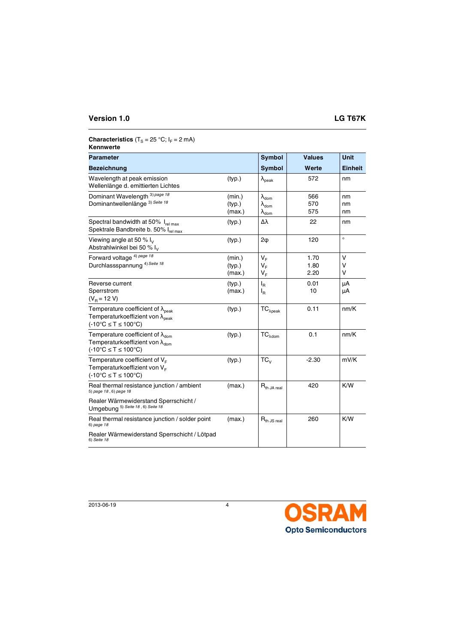# **Characteristics**  $(T_S = 25 \text{ °C}; I_F = 2 \text{ mA})$

# **Kennwerte**

| <b>Parameter</b>                                                                                                                                   |                            | Symbol                                                                     | <b>Values</b>        | <b>Unit</b>    |
|----------------------------------------------------------------------------------------------------------------------------------------------------|----------------------------|----------------------------------------------------------------------------|----------------------|----------------|
| <b>Bezeichnung</b>                                                                                                                                 |                            | <b>Symbol</b>                                                              | Werte                | <b>Einheit</b> |
| Wavelength at peak emission<br>Wellenlänge d. emittierten Lichtes                                                                                  | (typ.)                     | $\lambda_{\text{peak}}$                                                    | 572                  | nm             |
| Dominant Wavelength <sup>3) page 18</sup><br>Dominantwellenlänge <sup>3)</sup> Seite 18                                                            | (min.)<br>(typ.)<br>(max.) | $\lambda_{\text{dom}}$<br>$\lambda_{\text{dom}}$<br>$\lambda_{\text{dom}}$ | 566<br>570<br>575    | nm<br>nm<br>nm |
| Spectral bandwidth at 50% Irel max<br>Spektrale Bandbreite b. 50% I <sub>rel max</sub>                                                             | (typ.)                     | Δλ                                                                         | 22                   | nm             |
| Viewing angle at 50 % $I_V$<br>Abstrahlwinkel bei 50 % l <sub>v</sub>                                                                              | (typ.)                     | $2\phi$                                                                    | 120                  | $\circ$        |
| Forward voltage <sup>4) page 18</sup><br>Durchlassspannung <sup>4) Seite 18</sup>                                                                  | (min.)<br>(typ.)<br>(max.) | $V_F$<br>$V_F$<br>$V_F$                                                    | 1.70<br>1.80<br>2.20 | v<br>v<br>v    |
| Reverse current<br>Sperrstrom<br>$(V_R = 12 V)$                                                                                                    | (typ.)<br>(max.)           | $I_R$<br>$I_{\mathsf{R}}$                                                  | 0.01<br>10           | μA<br>μA       |
| Temperature coefficient of $\lambda_{\text{peak}}$<br>Temperaturkoeffizient von $\lambda_{peak}$<br>$(-10^{\circ}C \leq T \leq 100^{\circ}C)$      | (typ.)                     | ${\sf TC}_{\lambda {\sf peak}}$                                            | 0.11                 | nm/K           |
| Temperature coefficient of $\lambda_{\text{dom}}$<br>Temperaturkoeffizient von $\lambda_{\text{dom}}$<br>$(-10^{\circ}C \leq T \leq 100^{\circ}C)$ | (typ.)                     | ${\sf TC}_{\lambda {\sf dom}}$                                             | 0.1                  | nm/K           |
| Temperature coefficient of $V_F$<br>Temperaturkoeffizient von V <sub>E</sub><br>$(-10^{\circ}C \leq T \leq 100^{\circ}C)$                          | (typ.)                     | $TC_{V}$                                                                   | $-2.30$              | mV/K           |
| Real thermal resistance junction / ambient<br>5) page 18, 6) page 18                                                                               | (max.)                     | $R_{th$ JA real                                                            | 420                  | K/W            |
| Realer Wärmewiderstand Sperrschicht /<br>Umgebung 5) Seite 18, 6) Seite 18                                                                         |                            |                                                                            |                      |                |
| Real thermal resistance junction / solder point<br>6) page 18                                                                                      | (max.)                     | $R_{th}$ JS real                                                           | 260                  | K/W            |
| Realer Wärmewiderstand Sperrschicht / Lötpad<br>6) Seite 18                                                                                        |                            |                                                                            |                      |                |

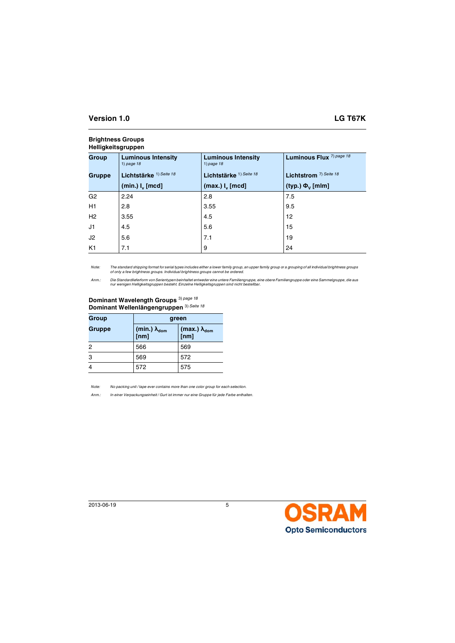<span id="page-4-2"></span><span id="page-4-0"></span>

| <b>Heiligkeitsgruppeil</b> |                                           |                                           |                                     |  |  |
|----------------------------|-------------------------------------------|-------------------------------------------|-------------------------------------|--|--|
| Group                      | <b>Luminous Intensity</b><br>1) page $18$ | <b>Luminous Intensity</b><br>1) page $18$ | Luminous Flux <sup>7)</sup> page 18 |  |  |
| Gruppe                     | Lichtstärke <sup>1) Seite 18</sup>        | Lichtstärke <sup>1) Seite 18</sup>        | Lichtstrom <sup>7)</sup> Seite 18   |  |  |
|                            | $(min.)$ $Iv$ [mcd]                       | (max.) I <sub>v</sub> [mod]               | (typ.) $\Phi_{V}$ [mlm]             |  |  |
| G <sub>2</sub>             | 2.24                                      | 2.8                                       | 7.5                                 |  |  |
| H1                         | 2.8                                       | 3.55                                      | 9.5                                 |  |  |
| H2                         | 3.55                                      | 4.5                                       | 12                                  |  |  |
| J1                         | 4.5                                       | 5.6                                       | 15                                  |  |  |
| J2                         | 5.6                                       | 7.1                                       | 19                                  |  |  |
| K <sub>1</sub>             | 7.1                                       | 9                                         | 24                                  |  |  |

### **Brightness Groups Helligkeitsgruppen**

*Note: The standard shipping format for serial types includes either a lower family group, an upper family group or a grouping of all individual brightness groups of only a few brightness groups. Individual brightness groups cannot be ordered.*

Anm.: Die Standardlieferform von Serientypen beinhaltet entweder eine untere Familiengruppe, eine obere Familiengruppe oder eine Sammelgruppe, die aus<br>nur wenigen Helligkeitsgruppen besteht. Einzelne Helligkeitsgruppen sin

# **Dominant Wavelength Groups** 3) *[page 18](#page-17-4)* **Dominant Wellenlängengruppen** 3) *[Seite 18](#page-17-5)*

<span id="page-4-3"></span><span id="page-4-1"></span>

| Group  | green                                 |                                    |  |
|--------|---------------------------------------|------------------------------------|--|
| Gruppe | (min.) $\lambda_{\text{dom}}$<br>[nm] | (max.) $\lambda_{\text{dom}}$ [nm] |  |
| 2      | 566                                   | 569                                |  |
| 3      | 569                                   | 572                                |  |
| 4      | 572                                   | 575                                |  |

*Note: No packing unit / tape ever contains more than one color group for each selection.*

*Anm.: In einer Verpackungseinheit / Gurt ist immer nur eine Gruppe für jede Farbe enthalten.*

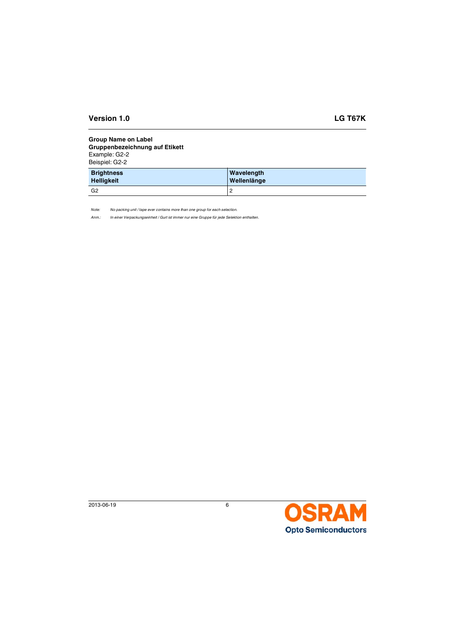## **Group Name on Label Gruppenbezeichnung auf Etikett**

Example: G2-2 Beispiel: G2-2

| <b>Brightness</b> | Wavelength  |
|-------------------|-------------|
| <b>Helligkeit</b> | Wellenlänge |
| G2                | 2           |

*Note: No packing unit / tape ever contains more than one group for each selection.*

*Anm.: In einer Verpackungseinheit / Gurt ist immer nur eine Gruppe für jede Selektion enthalten.*

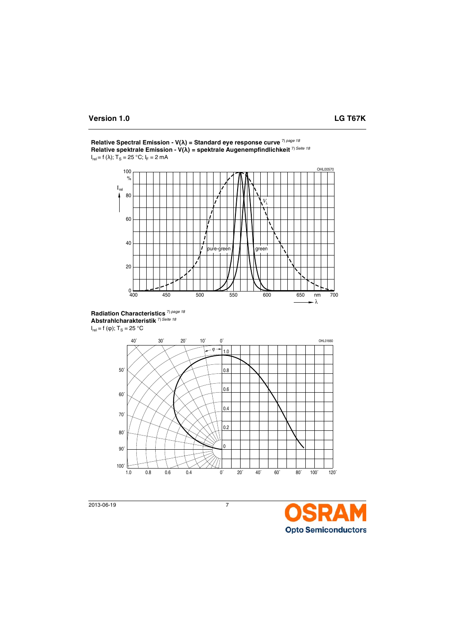

**Relative Spectral Emission - V(λ) = Standard eye response curve** 7) *[page 18](#page-17-12)* **Relative spektrale Emission - V(λ) = spektrale Augenempfindlichkeit** 7) *[Seite 18](#page-17-13)*  $I_{rel}$  = f (λ); T<sub>S</sub> = 25 °C; I<sub>F</sub> = 2 mA

**Radiation Characteristics** 7) *[page 18](#page-17-12)* **Abstrahlcharakteristik** 7) *[Seite 18](#page-17-13)*  $I_{rel} = f(\phi)$ ; T<sub>S</sub> = 25 °C



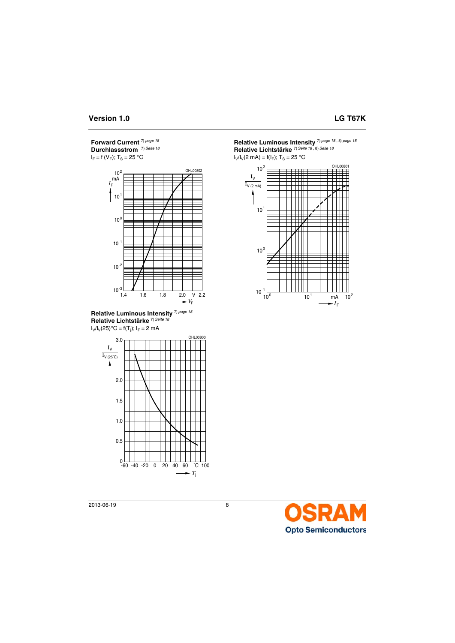**Forward Current** 7) *[page 18](#page-17-12)* **Durchlassstrom** 7) *[Seite 18](#page-17-13)*  $I_F = f(V_F); T_S = 25 °C$ 







**Relative Luminous Intensity** 7) *[page 18](#page-17-12)* , 8) *[page 18](#page-17-14)* **Relative Lichtstärke** 7) *[Seite 18](#page-17-13)* , 8) *[Seite 18](#page-17-15)*

 $I_V/I_V(2 \text{ mA}) = f(I_F); T_S = 25 \text{ °C}$ 



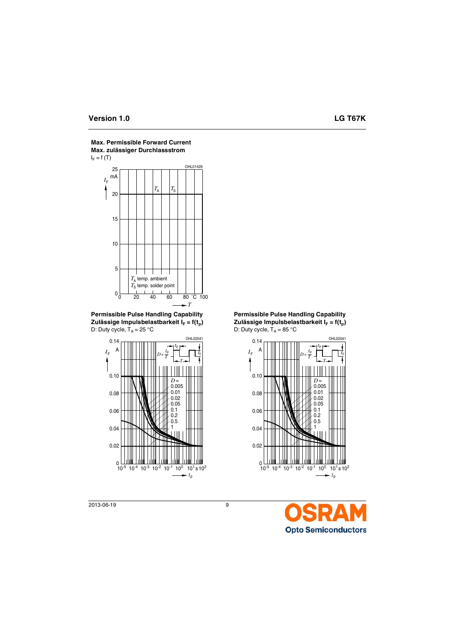

**Max. Permissible Forward Current Max. zulässiger Durchlassstrom**

**Permissible Pulse Handling Capability** Zulässige Impulsbelastbarkeit I<sub>F</sub> = f(t<sub>n</sub>) D: Duty cycle,  $T_A = 25 \text{ }^\circ \text{C}$ 



**Permissible Pulse Handling Capability** Zulässige Impulsbelastbarkeit  $I_F = f(t_n)$ D: Duty cycle,  $T_A = 85 \degree C$ 



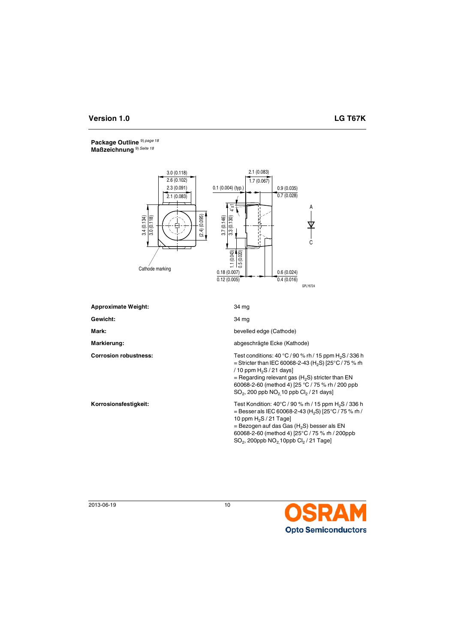## **Package Outline** 9) *[page 18](#page-17-16)* **Maßzeichnung** 9) *[Seite 18](#page-17-17)*



| <b>Approximate Weight:</b>   | 34 mg                                                                                                                                                                                                                                                                                                                            |
|------------------------------|----------------------------------------------------------------------------------------------------------------------------------------------------------------------------------------------------------------------------------------------------------------------------------------------------------------------------------|
| Gewicht:                     | 34 mg                                                                                                                                                                                                                                                                                                                            |
| Mark:                        | bevelled edge (Cathode)                                                                                                                                                                                                                                                                                                          |
| Markierung:                  | abgeschrägte Ecke (Kathode)                                                                                                                                                                                                                                                                                                      |
| <b>Corrosion robustness:</b> | Test conditions: 40 °C / 90 % rh / 15 ppm $H_2S$ / 336 h<br>= Stricter than IEC 60068-2-43 (H <sub>2</sub> S) $[25^{\circ}C/75$ % rh<br>/ 10 ppm $H_2S$ / 21 days]<br>= Regarding relevant gas $(H_2S)$ stricter than EN<br>60068-2-60 (method 4) [25 °C / 75 % rh / 200 ppb<br>$SO_2$ , 200 ppb $NO_2$ 10 ppb $Cl_2$ / 21 days] |
| Korrosionsfestigkeit:        | Test Kondition: 40°C / 90 % rh / 15 ppm H <sub>2</sub> S / 336 h<br>= Besser als IEC 60068-2-43 (H <sub>2</sub> S) [25°C / 75 % rh /<br>10 ppm $H_2S/21$ Tage]<br>= Bezogen auf das Gas $(H_2S)$ besser als EN<br>60068-2-60 (method 4) [25°C / 75 % rh / 200ppb<br>$SO_2$ , 200ppb $NO_2$ 10ppb $Cl_2/21$ Tage]                 |

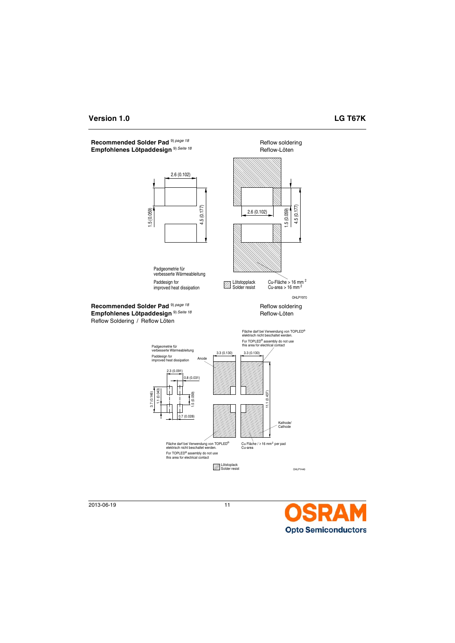Recommended Solder Pad<sup>9) [page 18](#page-17-16)</sup> **Reflow soldering** Empfohlenes Lötpaddesign <sup>9) [Seite 18](#page-17-17)</sup> Reflow-Löten





2013-06-19 11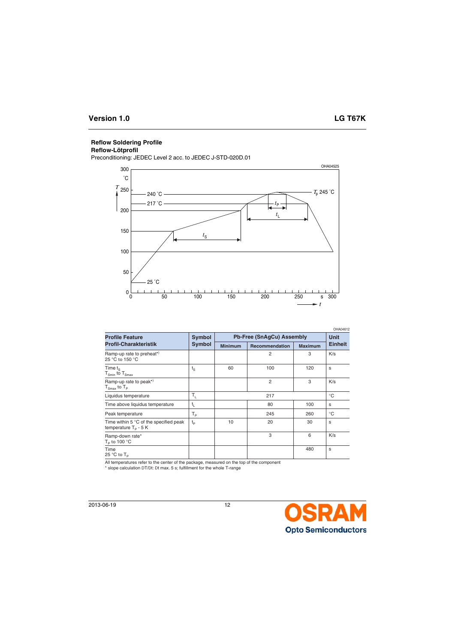# **Reflow Soldering Profile**

# **Reflow-Lötprofil**

Preconditioning: JEDEC Level 2 acc. to JEDEC J-STD-020D.01



|                                                                  |             |                           |                |                | OHA04612       |
|------------------------------------------------------------------|-------------|---------------------------|----------------|----------------|----------------|
| <b>Profile Feature</b>                                           | Symbol      | Pb-Free (SnAqCu) Assembly |                |                | <b>Unit</b>    |
| <b>Profil-Charakteristik</b>                                     | Symbol      | <b>Minimum</b>            | Recommendation | <b>Maximum</b> | <b>Einheit</b> |
| Ramp-up rate to preheat*)<br>25 °C to 150 °C                     |             |                           | $\overline{2}$ | 3              | K/s            |
| Time $t_{S}$<br>$T_{\text{Smin}}$ to $T_{\text{Smax}}$           | $t_{\rm S}$ | 60                        | 100            | 120            | s              |
| Ramp-up rate to peak*)<br>$T_{\text{Smax}}$ to $T_{\text{P}}$    |             |                           | $\overline{2}$ | 3              | K/s            |
| Liquidus temperature                                             | т,          |                           | 217            |                | $^{\circ}C$    |
| Time above liquidus temperature                                  | t,          |                           | 80             | 100            | s              |
| Peak temperature                                                 | $T_{\sf p}$ |                           | 245            | 260            | °C             |
| Time within 5 °C of the specified peak<br>temperature $T_p - 5K$ | $t_{p}$     | 10                        | 20             | 30             | s              |
| Ramp-down rate*<br>$T_{\rm p}$ to 100 °C                         |             |                           | 3              | 6              | K/s            |
| Time<br>25 °C to $T_p$                                           |             |                           |                | 480            | s              |

All temperatures refer to the center of the package, measured on the top of the component

\* slope calculation DT/Dt: Dt max. 5 s; fulfillment for the whole T-range

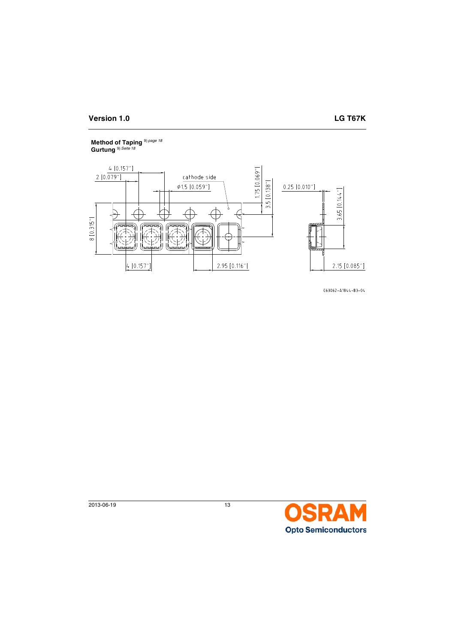## **Method of Taping** 9) *[page 18](#page-17-16)* **Gurtung** 9) *[Seite 18](#page-17-17)*



C63062-A1844-B3-04

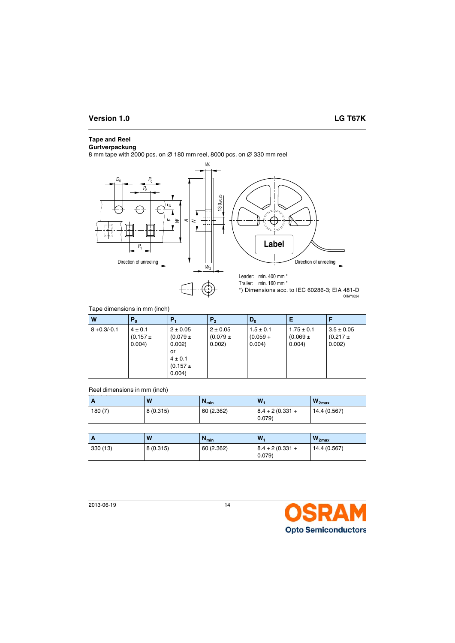# **Tape and Reel**

### **Gurtverpackung**

8 mm tape with 2000 pcs. on ∅ 180 mm reel, 8000 pcs. on ∅ 330 mm reel



## Tape dimensions in mm (inch)

| W              | P <sub>0</sub>                       | Р,                                                                                  | P <sub>2</sub>                         | $D_0$                                 | Е                                        |                                          |
|----------------|--------------------------------------|-------------------------------------------------------------------------------------|----------------------------------------|---------------------------------------|------------------------------------------|------------------------------------------|
| $8 + 0.3/-0.1$ | $4 \pm 0.1$<br>$(0.157 \pm$<br>0.004 | $2 \pm 0.05$<br>$(0.079 \pm$<br>0.002)<br>or<br>$4 \pm 0.1$<br>$(0.157 +$<br>0.004) | $2 \pm 0.05$<br>$(0.079 \pm$<br>0.002) | $1.5 \pm 0.1$<br>$(0.059 +$<br>0.004) | $1.75 \pm 0.1$<br>$(0.069 \pm$<br>0.004) | $3.5 \pm 0.05$<br>$(0.217 \pm$<br>0.002) |

### Reel dimensions in mm (inch)

| A      | W        | $N_{min}$  | W.                         | $W_{2max}$   |
|--------|----------|------------|----------------------------|--------------|
| 180(7) | 8(0.315) | 60 (2.362) | $8.4 + 2(0.331 +$<br>0.079 | 14.4 (0.567) |

| A        | W        | <b>u</b> <sup>min</sup> | W.                         | $W_{2max}$   |
|----------|----------|-------------------------|----------------------------|--------------|
| 330 (13) | 8(0.315) | 60 (2.362)              | $8.4 + 2(0.331 +$<br>0.079 | 14.4 (0.567) |

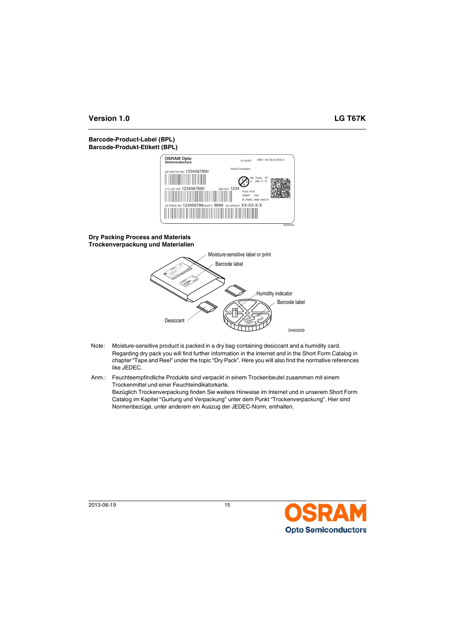# **Barcode-Product-Label (BPL) Barcode-Produkt-Etikett (BPL)**



## **Dry Packing Process and Materials Trockenverpackung und Materialien**



- Note: Moisture-sensitive product is packed in a dry bag containing desiccant and a humidity card. Regarding dry pack you will find further information in the internet and in the Short Form Catalog in chapter "Tape and Reel" under the topic "Dry Pack". Here you will also find the normative references like JEDEC.
- Anm.: Feuchteempfindliche Produkte sind verpackt in einem Trockenbeutel zusammen mit einem Trockenmittel und einer Feuchteindikatorkarte. Bezüglich Trockenverpackung finden Sie weitere Hinweise im Internet und in unserem Short Form Catalog im Kapitel "Gurtung und Verpackung" unter dem Punkt "Trockenverpackung". Hier sind Normenbezüge, unter anderem ein Auszug der JEDEC-Norm, enthalten.

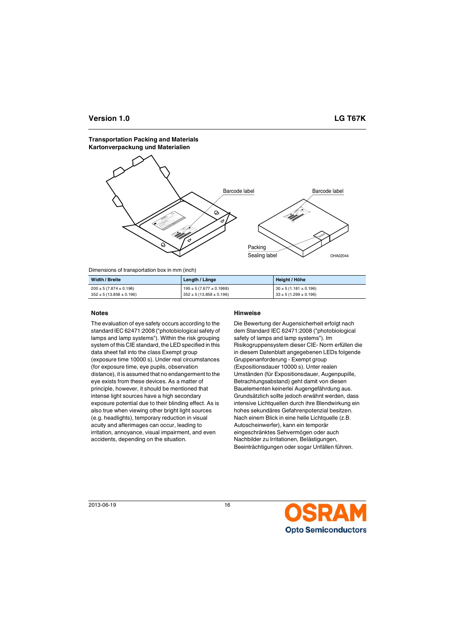#### **Transportation Packing and Materials Kartonverpackung und Materialien**



Dimensions of transportation box in mm (inch)

| Width / Breite                 | Length / Länge                 | Height / Höhe               |
|--------------------------------|--------------------------------|-----------------------------|
| $200 \pm 5 (7.874 \pm 0.196)$  | $195 \pm 5 (7.677 \pm 0.1968)$ | $30 \pm 5(1.181 \pm 0.196)$ |
| $352 \pm 5 (13.858 \pm 0.196)$ | $352 \pm 5(13.858 \pm 0.196)$  | $33 \pm 5(1.299 \pm 0.196)$ |

The evaluation of eye safety occurs according to the standard IEC 62471:2008 ("photobiological safety of lamps and lamp systems"). Within the risk grouping system of this CIE standard, the LED specified in this data sheet fall into the class Exempt group (exposure time 10000 s). Under real circumstances (for exposure time, eye pupils, observation distance), it is assumed that no endangerment to the eye exists from these devices. As a matter of principle, however, it should be mentioned that intense light sources have a high secondary exposure potential due to their blinding effect. As is also true when viewing other bright light sources (e.g. headlights), temporary reduction in visual acuity and afterimages can occur, leading to irritation, annoyance, visual impairment, and even accidents, depending on the situation.

# **Notes Hinweise**

Die Bewertung der Augensicherheit erfolgt nach dem Standard IEC 62471:2008 ("photobiological safety of lamps and lamp systems"). Im Risikogruppensystem dieser CIE- Norm erfüllen die in diesem Datenblatt angegebenen LEDs folgende Gruppenanforderung - Exempt group (Expositionsdauer 10000 s). Unter realen Umständen (für Expositionsdauer, Augenpupille, Betrachtungsabstand) geht damit von diesen Bauelementen keinerlei Augengefährdung aus. Grundsätzlich sollte jedoch erwähnt werden, dass intensive Lichtquellen durch ihre Blendwirkung ein hohes sekundäres Gefahrenpotenzial besitzen. Nach einem Blick in eine helle Lichtquelle (z.B. Autoscheinwerfer), kann ein temporär eingeschränktes Sehvermögen oder auch Nachbilder zu Irritationen, Belästigungen, Beeinträchtigungen oder sogar Unfällen führen.

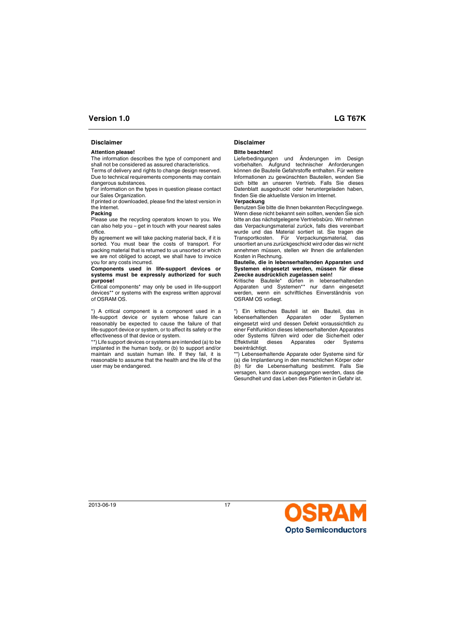## **Disclaimer Disclaimer**

#### **Attention please!**

The information describes the type of component and shall not be considered as assured characteristics.

Terms of delivery and rights to change design reserved. Due to technical requirements components may contain dangerous substances.

For information on the types in question please contact our Sales Organization.

If printed or downloaded, please find the latest version in the Internet.

#### **Packing**

Please use the recycling operators known to you. We can also help you – get in touch with your nearest sales office.

By agreement we will take packing material back, if it is sorted. You must bear the costs of transport. For packing material that is returned to us unsorted or which we are not obliged to accept, we shall have to invoice you for any costs incurred.

#### **Components used in life-support devices or systems must be expressly authorized for such purpose!**

Critical components\* may only be used in life-support devices\*\* or systems with the express written approval of OSRAM OS.

\*) A critical component is a component used in a life-support device or system whose failure can reasonably be expected to cause the failure of that life-support device or system, or to affect its safety or the effectiveness of that device or system.

\*\*) Life support devices or systems are intended (a) to be implanted in the human body, or (b) to support and/or maintain and sustain human life. If they fail, it is reasonable to assume that the health and the life of the user may be endangered.

#### **Bitte beachten!**

Lieferbedingungen und Änderungen im Design vorbehalten. Aufgrund technischer Anforderungen können die Bauteile Gefahrstoffe enthalten. Für weitere Informationen zu gewünschten Bauteilen, wenden Sie sich bitte an unseren Vertrieb. Falls Sie dieses Datenblatt ausgedruckt oder heruntergeladen haben, finden Sie die aktuellste Version im Internet.

#### **Verpackung**

Benutzen Sie bitte die Ihnen bekannten Recyclingwege. Wenn diese nicht bekannt sein sollten, wenden Sie sich bitte an das nächstgelegene Vertriebsbüro. Wir nehmen das Verpackungsmaterial zurück, falls dies vereinbart wurde und das Material sortiert ist. Sie tragen die Transportkosten. Für Verpackungsmaterial, das unsortiert an uns zurückgeschickt wird oder das wir nicht annehmen müssen, stellen wir Ihnen die anfallenden Kosten in Rechnung.

#### **Bauteile, die in lebenserhaltenden Apparaten und Systemen eingesetzt werden, müssen für diese Zwecke ausdrücklich zugelassen sein!**

Kritische Bauteile\* dürfen in lebenserhaltenden Apparaten und Systemen\*\* nur dann eingesetzt werden, wenn ein schriftliches Einverständnis von OSRAM OS vorliegt.

\*) Ein kritisches Bauteil ist ein Bauteil, das in lebenserhaltenden Apparaten oder Systemen eingesetzt wird und dessen Defekt voraussichtlich zu einer Fehlfunktion dieses lebenserhaltenden Apparates oder Systems führen wird oder die Sicherheit oder Effektivität dieses Apparates oder Systems beeinträchtigt.

\*\*) Lebenserhaltende Apparate oder Systeme sind für (a) die Implantierung in den menschlichen Körper oder (b) für die Lebenserhaltung bestimmt. Falls Sie versagen, kann davon ausgegangen werden, dass die Gesundheit und das Leben des Patienten in Gefahr ist.

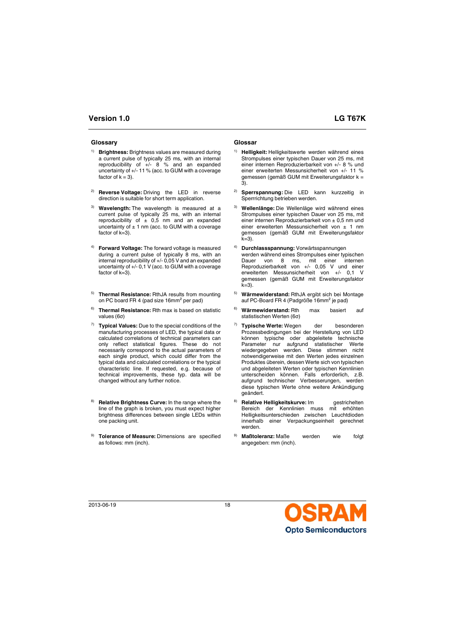### **Glossary Glossar**

- <span id="page-17-0"></span>1) **Brightness:** Brightness values are measured during a current pulse of typically 25 ms, with an internal reproducibility of  $+/-$  8 % and an expanded uncertainty of +/- 11 % (acc. to GUM with a coverage factor of  $k = 3$ ).
- <span id="page-17-2"></span>2) **Reverse Voltage:** Driving the LED in reverse direction is suitable for short term application.
- <span id="page-17-4"></span>3) **Wavelength:** The wavelength is measured at a current pulse of typically 25 ms, with an internal reproducibility of  $\pm$  0.5 nm and an expanded uncertainty of  $\pm$  1 nm (acc. to GUM with a coverage factor of k=3).
- <span id="page-17-6"></span>4) **Forward Voltage:** The forward voltage is measured during a current pulse of typically 8 ms, with an internal reproducibility of +/- 0,05 V and an expanded uncertainty of +/- 0,1 V (acc. to GUM with a coverage factor of k=3).
- <span id="page-17-8"></span>5) **Thermal Resistance:** RthJA results from mounting on PC board FR 4 (pad size 16mm² per pad)
- <span id="page-17-9"></span>6) **Thermal Resistance:** Rth max is based on statistic values (6σ)
- <span id="page-17-12"></span>7) **Typical Values:** Due to the special conditions of the manufacturing processes of LED, the typical data or calculated correlations of technical parameters can only reflect statistical figures. These do not necessarily correspond to the actual parameters of each single product, which could differ from the typical data and calculated correlations or the typical characteristic line. If requested, e.g. because of technical improvements, these typ. data will be changed without any further notice.
- <span id="page-17-14"></span>**Relative Brightness Curve:** In the range where the line of the graph is broken, you must expect higher brightness differences between single LEDs within one packing unit.
- <span id="page-17-16"></span>9) **Tolerance of Measure:** Dimensions are specified as follows: mm (inch).

- <span id="page-17-1"></span>1) **Helligkeit:** Helligkeitswerte werden während eines Strompulses einer typischen Dauer von 25 ms, mit einer internen Reproduzierbarkeit von +/- 8 % und einer erweiterten Messunsicherheit von +/- 11 % gemessen (gemäß GUM mit Erweiterungsfaktor k = 3).
- <span id="page-17-3"></span>2) **Sperrspannung:** Die LED kann kurzzeitig in Sperrrichtung betrieben werden.
- <span id="page-17-5"></span>3) **Wellenlänge:** Die Wellenläge wird während eines Strompulses einer typischen Dauer von 25 ms, mit einer internen Reproduzierbarkeit von ± 0,5 nm und einer erweiterten Messunsicherheit von ± 1 nm gemessen (gemäß GUM mit Erweiterungsfaktor  $k=3$ ).
- <span id="page-17-7"></span>4) **Durchlassspannung:** Vorwärtsspannungen werden während eines Strompulses einer typischen Dauer von 8 ms, mit einer internen Reproduzierbarkeit von +/- 0,05 V und einer erweiterten Messunsicherheit von +/- 0,1 V gemessen (gemäß GUM mit Erweiterungsfaktor  $k=3$ ).
- <span id="page-17-10"></span>5) **Wärmewiderstand:** RthJA ergibt sich bei Montage auf PC-Board FR 4 (Padgröße 16mm² je pad)
- <span id="page-17-11"></span>6) **Wärmewiderstand:** Rth max basiert auf statistischen Werten (6σ)
- <span id="page-17-13"></span>7) **Typische Werte:** Wegen der besonderen Prozessbedingungen bei der Herstellung von LED können typische oder abgeleitete technische Parameter nur aufgrund statistischer Werte wiedergegeben werden. Diese stimmen nicht notwendigerweise mit den Werten jedes einzelnen Produktes überein, dessen Werte sich von typischen und abgeleiteten Werten oder typischen Kennlinien unterscheiden können. Falls erforderlich, z.B. aufgrund technischer Verbesserungen, werden diese typischen Werte ohne weitere Ankündigung geändert.
- <span id="page-17-15"></span>8) **Relative Helligkeitskurve:** Im gestrichelten Bereich der Kennlinien muss mit erhöhten Helligkeitsunterschieden zwischen Leuchtdioden innerhalb einer Verpackungseinheit gerechnet werden.
- <span id="page-17-17"></span>9) **Maßtoleranz:** Maße werden wie folgt angegeben: mm (inch).